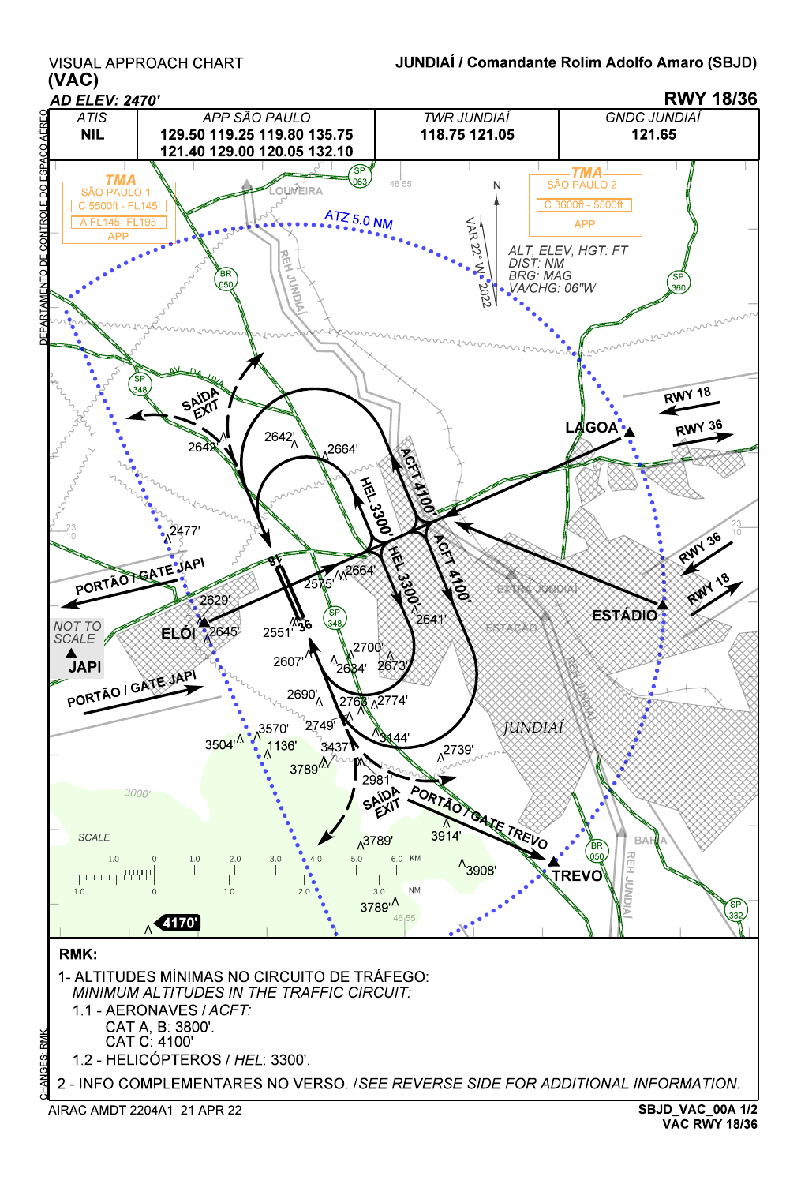